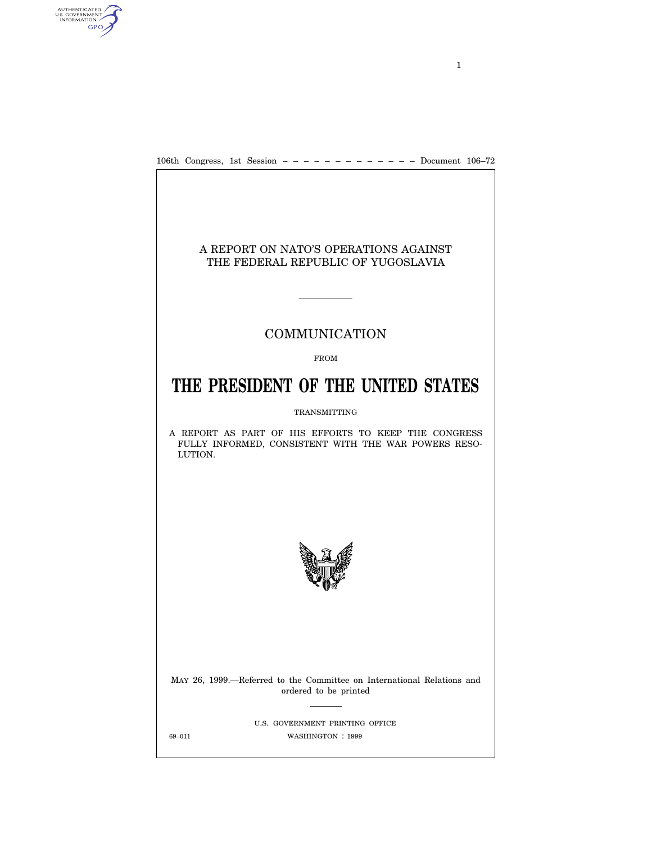

### A REPORT ON NATO'S OPERATIONS AGAINST THE FEDERAL REPUBLIC OF YUGOSLAVIA

## COMMUNICATION

#### FROM

# **THE PRESIDENT OF THE UNITED STATES**

#### TRANSMITTING

A REPORT AS PART OF HIS EFFORTS TO KEEP THE CONGRESS FULLY INFORMED, CONSISTENT WITH THE WAR POWERS RESO-LUTION.



MAY 26, 1999.—Referred to the Committee on International Relations and ordered to be printed

U.S. GOVERNMENT PRINTING OFFICE 69-011 WASHINGTON : 1999

AUTHENTICATED<br>U.S. GOVERNMENT<br>INFORMATION **GPO** 

1